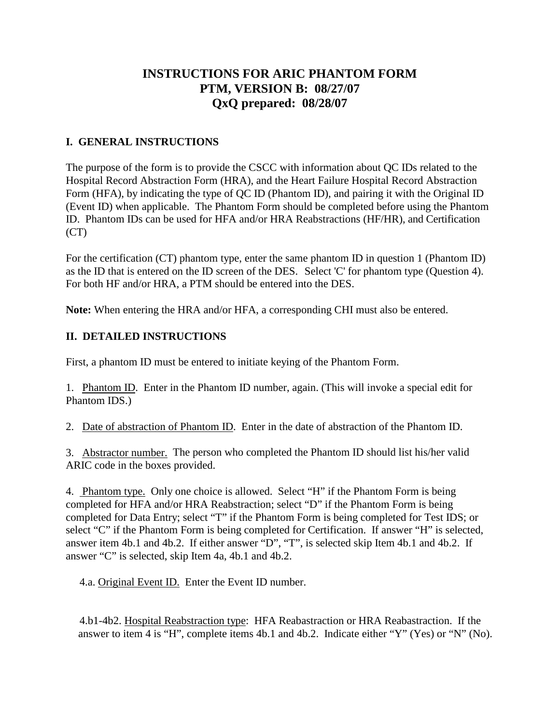## **INSTRUCTIONS FOR ARIC PHANTOM FORM PTM, VERSION B: 08/27/07 QxQ prepared: 08/28/07**

## **I. GENERAL INSTRUCTIONS**

The purpose of the form is to provide the CSCC with information about QC IDs related to the Hospital Record Abstraction Form (HRA), and the Heart Failure Hospital Record Abstraction Form (HFA), by indicating the type of QC ID (Phantom ID), and pairing it with the Original ID (Event ID) when applicable. The Phantom Form should be completed before using the Phantom ID. Phantom IDs can be used for HFA and/or HRA Reabstractions (HF/HR), and Certification (CT)

For the certification (CT) phantom type, enter the same phantom ID in question 1 (Phantom ID) as the ID that is entered on the ID screen of the DES. Select 'C' for phantom type (Question 4). For both HF and/or HRA, a PTM should be entered into the DES.

**Note:** When entering the HRA and/or HFA, a corresponding CHI must also be entered.

## **II. DETAILED INSTRUCTIONS**

First, a phantom ID must be entered to initiate keying of the Phantom Form.

1. Phantom ID. Enter in the Phantom ID number, again. (This will invoke a special edit for Phantom IDS.)

2. Date of abstraction of Phantom ID. Enter in the date of abstraction of the Phantom ID.

3. Abstractor number. The person who completed the Phantom ID should list his/her valid ARIC code in the boxes provided.

4. Phantom type. Only one choice is allowed. Select "H" if the Phantom Form is being completed for HFA and/or HRA Reabstraction; select "D" if the Phantom Form is being completed for Data Entry; select "T" if the Phantom Form is being completed for Test IDS; or select "C" if the Phantom Form is being completed for Certification. If answer "H" is selected, answer item 4b.1 and 4b.2. If either answer "D", "T", is selected skip Item 4b.1 and 4b.2. If answer "C" is selected, skip Item 4a, 4b.1 and 4b.2.

4.a. Original Event ID. Enter the Event ID number.

 4.b1-4b2. Hospital Reabstraction type: HFA Reabastraction or HRA Reabastraction. If the answer to item 4 is "H", complete items 4b.1 and 4b.2. Indicate either "Y" (Yes) or "N" (No).